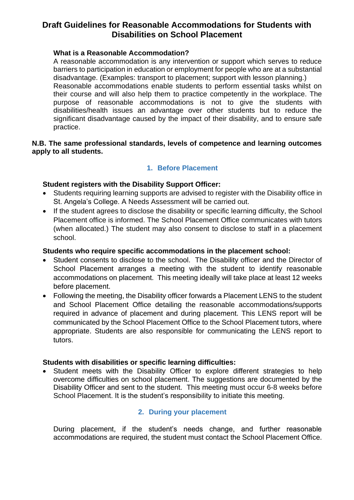# **Draft Guidelines for Reasonable Accommodations for Students with Disabilities on School Placement**

### **What is a Reasonable Accommodation?**

A reasonable accommodation is any intervention or support which serves to reduce barriers to participation in education or employment for people who are at a substantial disadvantage. (Examples: transport to placement; support with lesson planning.) Reasonable accommodations enable students to perform essential tasks whilst on their course and will also help them to practice competently in the workplace. The purpose of reasonable accommodations is not to give the students with disabilities/health issues an advantage over other students but to reduce the significant disadvantage caused by the impact of their disability, and to ensure safe practice.

### **N.B. The same professional standards, levels of competence and learning outcomes apply to all students.**

## **1. Before Placement**

### **Student registers with the Disability Support Officer:**

- Students requiring learning supports are advised to register with the Disability office in St. Angela's College. A Needs Assessment will be carried out.
- If the student agrees to disclose the disability or specific learning difficulty, the School Placement office is informed. The School Placement Office communicates with tutors (when allocated.) The student may also consent to disclose to staff in a placement school.

#### **Students who require specific accommodations in the placement school:**

- Student consents to disclose to the school. The Disability officer and the Director of School Placement arranges a meeting with the student to identify reasonable accommodations on placement. This meeting ideally will take place at least 12 weeks before placement.
- Following the meeting, the Disability officer forwards a Placement LENS to the student and School Placement Office detailing the reasonable accommodations/supports required in advance of placement and during placement. This LENS report will be communicated by the School Placement Office to the School Placement tutors, where appropriate. Students are also responsible for communicating the LENS report to tutors.

#### **Students with disabilities or specific learning difficulties:**

Student meets with the Disability Officer to explore different strategies to help overcome difficulties on school placement. The suggestions are documented by the Disability Officer and sent to the student. This meeting must occur 6-8 weeks before School Placement. It is the student's responsibility to initiate this meeting.

### **2. During your placement**

During placement, if the student's needs change, and further reasonable accommodations are required, the student must contact the School Placement Office.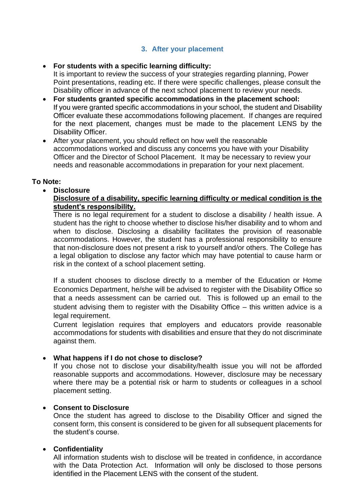### **3. After your placement**

#### • **For students with a specific learning difficulty:**

It is important to review the success of your strategies regarding planning, Power Point presentations, reading etc. If there were specific challenges, please consult the Disability officer in advance of the next school placement to review your needs.

- **For students granted specific accommodations in the placement school:** If you were granted specific accommodations in your school, the student and Disability Officer evaluate these accommodations following placement. If changes are required for the next placement, changes must be made to the placement LENS by the Disability Officer.
- After your placement, you should reflect on how well the reasonable accommodations worked and discuss any concerns you have with your Disability Officer and the Director of School Placement. It may be necessary to review your needs and reasonable accommodations in preparation for your next placement.

#### **To Note:**

• **Disclosure**

#### **Disclosure of a disability, specific learning difficulty or medical condition is the student's responsibility.**

There is no legal requirement for a student to disclose a disability / health issue. A student has the right to choose whether to disclose his/her disability and to whom and when to disclose. Disclosing a disability facilitates the provision of reasonable accommodations. However, the student has a professional responsibility to ensure that non-disclosure does not present a risk to yourself and/or others. The College has a legal obligation to disclose any factor which may have potential to cause harm or risk in the context of a school placement setting.

If a student chooses to disclose directly to a member of the Education or Home Economics Department, he/she will be advised to register with the Disability Office so that a needs assessment can be carried out. This is followed up an email to the student advising them to register with the Disability Office – this written advice is a legal requirement.

Current legislation requires that employers and educators provide reasonable accommodations for students with disabilities and ensure that they do not discriminate against them.

#### • **What happens if I do not chose to disclose?**

If you chose not to disclose your disability/health issue you will not be afforded reasonable supports and accommodations. However, disclosure may be necessary where there may be a potential risk or harm to students or colleagues in a school placement setting.

#### • **Consent to Disclosure**

Once the student has agreed to disclose to the Disability Officer and signed the consent form, this consent is considered to be given for all subsequent placements for the student's course.

#### • **Confidentiality**

All information students wish to disclose will be treated in confidence, in accordance with the Data Protection Act. Information will only be disclosed to those persons identified in the Placement LENS with the consent of the student.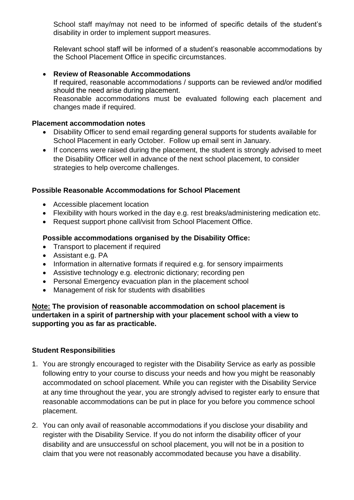School staff may/may not need to be informed of specific details of the student's disability in order to implement support measures.

Relevant school staff will be informed of a student's reasonable accommodations by the School Placement Office in specific circumstances.

### • **Review of Reasonable Accommodations**

If required, reasonable accommodations / supports can be reviewed and/or modified should the need arise during placement. Reasonable accommodations must be evaluated following each placement and changes made if required.

#### **Placement accommodation notes**

- Disability Officer to send email regarding general supports for students available for School Placement in early October. Follow up email sent in January.
- If concerns were raised during the placement, the student is strongly advised to meet the Disability Officer well in advance of the next school placement, to consider strategies to help overcome challenges.

#### **Possible Reasonable Accommodations for School Placement**

- Accessible placement location
- Flexibility with hours worked in the day e.g. rest breaks/administering medication etc.
- Request support phone call/visit from School Placement Office.

### **Possible accommodations organised by the Disability Office:**

- Transport to placement if required
- Assistant e.g. PA
- Information in alternative formats if required e.g. for sensory impairments
- Assistive technology e.g. electronic dictionary; recording pen
- Personal Emergency evacuation plan in the placement school
- Management of risk for students with disabilities

**Note: The provision of reasonable accommodation on school placement is undertaken in a spirit of partnership with your placement school with a view to supporting you as far as practicable.**

#### **Student Responsibilities**

- 1. You are strongly encouraged to register with the Disability Service as early as possible following entry to your course to discuss your needs and how you might be reasonably accommodated on school placement. While you can register with the Disability Service at any time throughout the year, you are strongly advised to register early to ensure that reasonable accommodations can be put in place for you before you commence school placement.
- 2. You can only avail of reasonable accommodations if you disclose your disability and register with the Disability Service. If you do not inform the disability officer of your disability and are unsuccessful on school placement, you will not be in a position to claim that you were not reasonably accommodated because you have a disability.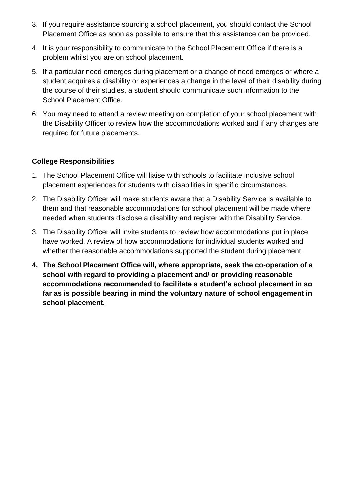- 3. If you require assistance sourcing a school placement, you should contact the School Placement Office as soon as possible to ensure that this assistance can be provided.
- 4. It is your responsibility to communicate to the School Placement Office if there is a problem whilst you are on school placement.
- 5. If a particular need emerges during placement or a change of need emerges or where a student acquires a disability or experiences a change in the level of their disability during the course of their studies, a student should communicate such information to the School Placement Office.
- 6. You may need to attend a review meeting on completion of your school placement with the Disability Officer to review how the accommodations worked and if any changes are required for future placements.

## **College Responsibilities**

- 1. The School Placement Office will liaise with schools to facilitate inclusive school placement experiences for students with disabilities in specific circumstances.
- 2. The Disability Officer will make students aware that a Disability Service is available to them and that reasonable accommodations for school placement will be made where needed when students disclose a disability and register with the Disability Service.
- 3. The Disability Officer will invite students to review how accommodations put in place have worked. A review of how accommodations for individual students worked and whether the reasonable accommodations supported the student during placement.
- **4. The School Placement Office will, where appropriate, seek the co-operation of a school with regard to providing a placement and/ or providing reasonable accommodations recommended to facilitate a student's school placement in so far as is possible bearing in mind the voluntary nature of school engagement in school placement.**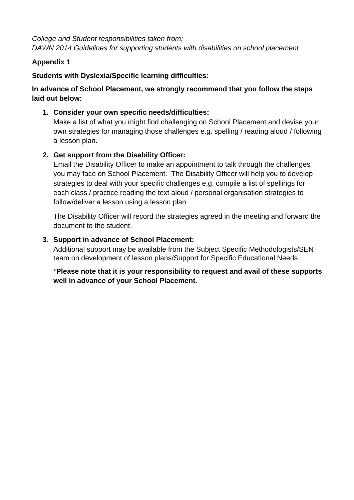*College and Student responsibilities taken from: DAWN 2014 Guidelines for supporting students with disabilities on school placement* 

### **Appendix 1**

## **Students with Dyslexia/Specific learning difficulties:**

## **In advance of School Placement, we strongly recommend that you follow the steps laid out below:**

### **1. Consider your own specific needs/difficulties:**

Make a list of what you might find challenging on School Placement and devise your own strategies for managing those challenges e.g. spelling / reading aloud / following a lesson plan.

## **2. Get support from the Disability Officer:**

Email the Disability Officer to make an appointment to talk through the challenges you may face on School Placement. The Disability Officer will help you to develop strategies to deal with your specific challenges e.g. compile a list of spellings for each class / practice reading the text aloud / personal organisation strategies to follow/deliver a lesson using a lesson plan

The Disability Officer will record the strategies agreed in the meeting and forward the document to the student.

### **3. Support in advance of School Placement:**

Additional support may be available from the Subject Specific Methodologists/SEN team on development of lesson plans/Support for Specific Educational Needs.

\***Please note that it is your responsibility to request and avail of these supports well in advance of your School Placement.**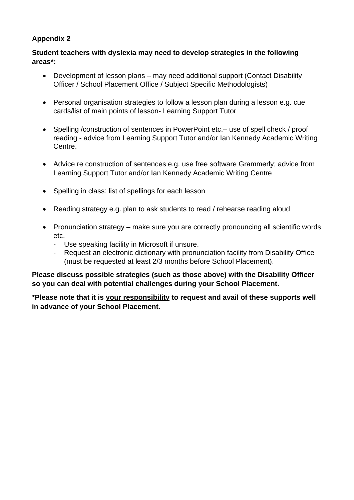## **Appendix 2**

### **Student teachers with dyslexia may need to develop strategies in the following areas\*:**

- Development of lesson plans may need additional support (Contact Disability Officer / School Placement Office / Subject Specific Methodologists)
- Personal organisation strategies to follow a lesson plan during a lesson e.g. cue cards/list of main points of lesson- Learning Support Tutor
- Spelling /construction of sentences in PowerPoint etc.– use of spell check / proof reading - advice from Learning Support Tutor and/or Ian Kennedy Academic Writing Centre.
- Advice re construction of sentences e.g. use free software Grammerly; advice from Learning Support Tutor and/or Ian Kennedy Academic Writing Centre
- Spelling in class: list of spellings for each lesson
- Reading strategy e.g. plan to ask students to read / rehearse reading aloud
- Pronunciation strategy make sure you are correctly pronouncing all scientific words etc.
	- Use speaking facility in Microsoft if unsure.
	- Request an electronic dictionary with pronunciation facility from Disability Office (must be requested at least 2/3 months before School Placement).

**Please discuss possible strategies (such as those above) with the Disability Officer so you can deal with potential challenges during your School Placement.**

**\*Please note that it is your responsibility to request and avail of these supports well in advance of your School Placement.**